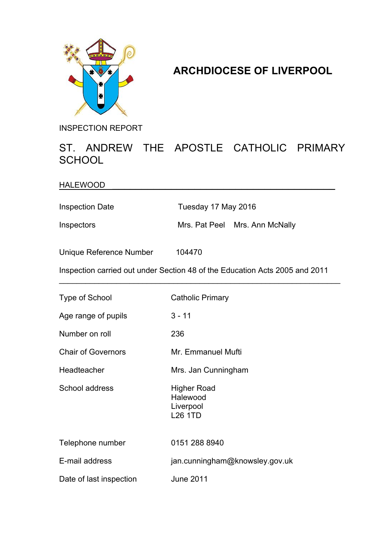

## **ARCHDIOCESE OF LIVERPOOL**

INSPECTION REPORT

## ST. ANDREW THE APOSTLE CATHOLIC PRIMARY **SCHOOL**

HALEWOOD

Inspection Date Tuesday 17 May 2016

Inspectors Mrs. Pat Peel Mrs. Ann McNally

Unique Reference Number 104470

Inspection carried out under Section 48 of the Education Acts 2005 and 2011

\_\_\_\_\_\_\_\_\_\_\_\_\_\_\_\_\_\_\_\_\_\_\_\_\_\_\_\_\_\_\_\_\_\_\_\_\_\_\_\_\_\_\_\_\_\_\_\_\_\_\_\_\_\_\_\_\_\_\_\_\_\_\_\_

| Type of School            | <b>Catholic Primary</b>                                |
|---------------------------|--------------------------------------------------------|
| Age range of pupils       | $3 - 11$                                               |
| Number on roll            | 236                                                    |
| <b>Chair of Governors</b> | Mr. Emmanuel Mufti                                     |
| Headteacher               | Mrs. Jan Cunningham                                    |
| School address            | Higher Road<br>Halewood<br>Liverpool<br><b>L26 1TD</b> |
| Telephone number          | 0151 288 8940                                          |
| E-mail address            | jan.cunningham@knowsley.gov.uk                         |
| Date of last inspection   | <b>June 2011</b>                                       |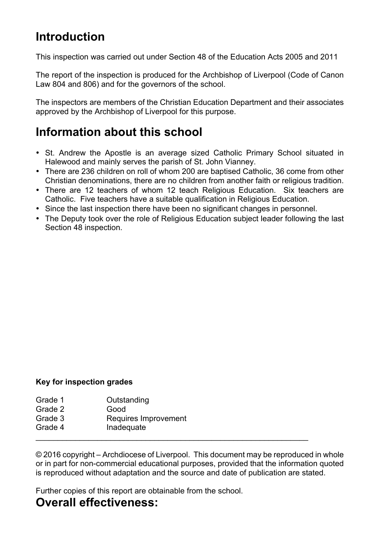# **Introduction**

This inspection was carried out under Section 48 of the Education Acts 2005 and 2011

The report of the inspection is produced for the Archbishop of Liverpool (Code of Canon Law 804 and 806) and for the governors of the school.

The inspectors are members of the Christian Education Department and their associates approved by the Archbishop of Liverpool for this purpose.

## **Information about this school**

- St. Andrew the Apostle is an average sized Catholic Primary School situated in Halewood and mainly serves the parish of St. John Vianney.
- There are 236 children on roll of whom 200 are baptised Catholic, 36 come from other Christian denominations, there are no children from another faith or religious tradition.
- There are 12 teachers of whom 12 teach Religious Education. Six teachers are Catholic. Five teachers have a suitable qualification in Religious Education.
- Since the last inspection there have been no significant changes in personnel.
- The Deputy took over the role of Religious Education subject leader following the last Section 48 inspection.

#### **Key for inspection grades**

| Grade 1            | Outstanding                        |
|--------------------|------------------------------------|
| Grade 2            | Good                               |
| Grade 3<br>Grade 4 | Requires Improvement<br>Inadequate |
|                    |                                    |

© 2016 copyright – Archdiocese of Liverpool. This document may be reproduced in whole or in part for non-commercial educational purposes, provided that the information quoted is reproduced without adaptation and the source and date of publication are stated.

Further copies of this report are obtainable from the school.

## **Overall effectiveness:**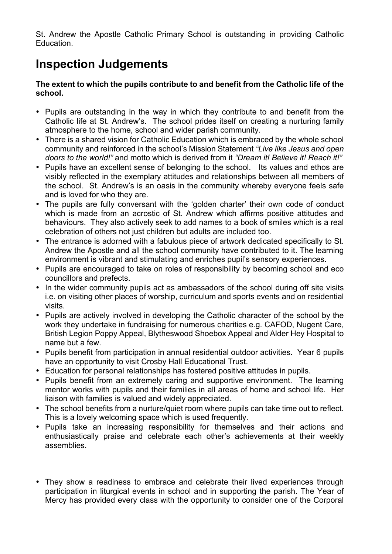St. Andrew the Apostle Catholic Primary School is outstanding in providing Catholic Education.

# **Inspection Judgements**

#### **The extent to which the pupils contribute to and benefit from the Catholic life of the school.**

- Pupils are outstanding in the way in which they contribute to and benefit from the Catholic life at St. Andrew's. The school prides itself on creating a nurturing family atmosphere to the home, school and wider parish community.
- There is a shared vision for Catholic Education which is embraced by the whole school community and reinforced in the school's Mission Statement *"Live like Jesus and open doors to the world!"* and motto which is derived from it *"Dream it! Believe it! Reach it!"*
- Pupils have an excellent sense of belonging to the school. Its values and ethos are visibly reflected in the exemplary attitudes and relationships between all members of the school. St. Andrew's is an oasis in the community whereby everyone feels safe and is loved for who they are.
- The pupils are fully conversant with the 'golden charter' their own code of conduct which is made from an acrostic of St. Andrew which affirms positive attitudes and behaviours. They also actively seek to add names to a book of smiles which is a real celebration of others not just children but adults are included too.
- The entrance is adorned with a fabulous piece of artwork dedicated specifically to St. Andrew the Apostle and all the school community have contributed to it. The learning environment is vibrant and stimulating and enriches pupil's sensory experiences.
- Pupils are encouraged to take on roles of responsibility by becoming school and eco councillors and prefects.
- In the wider community pupils act as ambassadors of the school during off site visits i.e. on visiting other places of worship, curriculum and sports events and on residential visits.
- Pupils are actively involved in developing the Catholic character of the school by the work they undertake in fundraising for numerous charities e.g. CAFOD, Nugent Care, British Legion Poppy Appeal, Blytheswood Shoebox Appeal and Alder Hey Hospital to name but a few.
- Pupils benefit from participation in annual residential outdoor activities. Year 6 pupils have an opportunity to visit Crosby Hall Educational Trust.
- Education for personal relationships has fostered positive attitudes in pupils.
- Pupils benefit from an extremely caring and supportive environment. The learning mentor works with pupils and their families in all areas of home and school life. Her liaison with families is valued and widely appreciated.
- The school benefits from a nurture/quiet room where pupils can take time out to reflect. This is a lovely welcoming space which is used frequently.
- Pupils take an increasing responsibility for themselves and their actions and enthusiastically praise and celebrate each other's achievements at their weekly assemblies.
- They show a readiness to embrace and celebrate their lived experiences through participation in liturgical events in school and in supporting the parish. The Year of Mercy has provided every class with the opportunity to consider one of the Corporal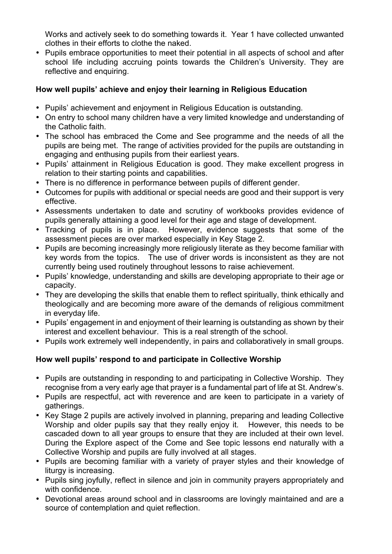Works and actively seek to do something towards it. Year 1 have collected unwanted clothes in their efforts to clothe the naked.

• Pupils embrace opportunities to meet their potential in all aspects of school and after school life including accruing points towards the Children's University. They are reflective and enquiring.

#### **How well pupils' achieve and enjoy their learning in Religious Education**

- Pupils' achievement and enjoyment in Religious Education is outstanding.
- On entry to school many children have a very limited knowledge and understanding of the Catholic faith.
- The school has embraced the Come and See programme and the needs of all the pupils are being met. The range of activities provided for the pupils are outstanding in engaging and enthusing pupils from their earliest years.
- Pupils' attainment in Religious Education is good. They make excellent progress in relation to their starting points and capabilities.
- There is no difference in performance between pupils of different gender.
- Outcomes for pupils with additional or special needs are good and their support is very effective.
- Assessments undertaken to date and scrutiny of workbooks provides evidence of pupils generally attaining a good level for their age and stage of development.
- Tracking of pupils is in place. However, evidence suggests that some of the assessment pieces are over marked especially in Key Stage 2.
- Pupils are becoming increasingly more religiously literate as they become familiar with key words from the topics. The use of driver words is inconsistent as they are not currently being used routinely throughout lessons to raise achievement.
- Pupils' knowledge, understanding and skills are developing appropriate to their age or capacity.
- They are developing the skills that enable them to reflect spiritually, think ethically and theologically and are becoming more aware of the demands of religious commitment in everyday life.
- Pupils' engagement in and enjoyment of their learning is outstanding as shown by their interest and excellent behaviour. This is a real strength of the school.
- Pupils work extremely well independently, in pairs and collaboratively in small groups.

#### **How well pupils' respond to and participate in Collective Worship**

- Pupils are outstanding in responding to and participating in Collective Worship. They recognise from a very early age that prayer is a fundamental part of life at St. Andrew's.
- Pupils are respectful, act with reverence and are keen to participate in a variety of gatherings.
- Key Stage 2 pupils are actively involved in planning, preparing and leading Collective Worship and older pupils say that they really enjoy it. However, this needs to be cascaded down to all year groups to ensure that they are included at their own level. During the Explore aspect of the Come and See topic lessons end naturally with a Collective Worship and pupils are fully involved at all stages.
- Pupils are becoming familiar with a variety of prayer styles and their knowledge of liturgy is increasing.
- Pupils sing joyfully, reflect in silence and join in community prayers appropriately and with confidence.
- Devotional areas around school and in classrooms are lovingly maintained and are a source of contemplation and quiet reflection.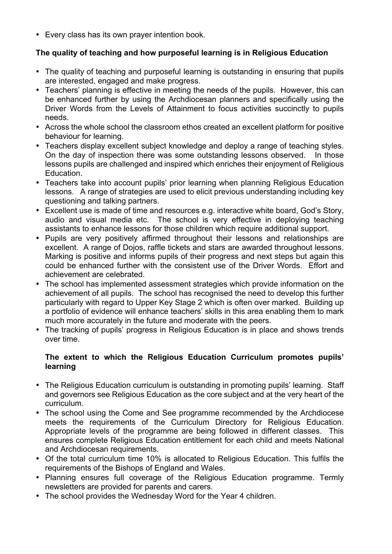• Every class has its own prayer intention book.

#### **The quality of teaching and how purposeful learning is in Religious Education**

- The quality of teaching and purposeful learning is outstanding in ensuring that pupils are interested, engaged and make progress.
- Teachers' planning is effective in meeting the needs of the pupils. However, this can be enhanced further by using the Archdiocesan planners and specifically using the Driver Words from the Levels of Attainment to focus activities succinctly to pupils needs.
- Across the whole school the classroom ethos created an excellent platform for positive behaviour for learning.
- Teachers display excellent subject knowledge and deploy a range of teaching styles. On the day of inspection there was some outstanding lessons observed. In those lessons pupils are challenged and inspired which enriches their enjoyment of Religious Education.
- Teachers take into account pupils' prior learning when planning Religious Education lessons. A range of strategies are used to elicit previous understanding including key questioning and talking partners.
- Excellent use is made of time and resources e.g. interactive white board, God's Story, audio and visual media etc. The school is very effective in deploying teaching assistants to enhance lessons for those children which require additional support.
- Pupils are very positively affirmed throughout their lessons and relationships are excellent. A range of Dojos, raffle tickets and stars are awarded throughout lessons. Marking is positive and informs pupils of their progress and next steps but again this could be enhanced further with the consistent use of the Driver Words. Effort and achievement are celebrated.
- The school has implemented assessment strategies which provide information on the achievement of all pupils. The school has recognised the need to develop this further particularly with regard to Upper Key Stage 2 which is often over marked. Building up a portfolio of evidence will enhance teachers' skills in this area enabling them to mark much more accurately in the future and moderate with the peers.
- The tracking of pupils' progress in Religious Education is in place and shows trends over time.

#### **The extent to which the Religious Education Curriculum promotes pupils' learning**

- The Religious Education curriculum is outstanding in promoting pupils' learning. Staff and governors see Religious Education as the core subject and at the very heart of the curriculum.
- The school using the Come and See programme recommended by the Archdiocese meets the requirements of the Curriculum Directory for Religious Education. Appropriate levels of the programme are being followed in different classes. This ensures complete Religious Education entitlement for each child and meets National and Archdiocesan requirements.
- Of the total curriculum time 10% is allocated to Religious Education. This fulfils the requirements of the Bishops of England and Wales.
- Planning ensures full coverage of the Religious Education programme. Termly newsletters are provided for parents and carers.
- The school provides the Wednesday Word for the Year 4 children.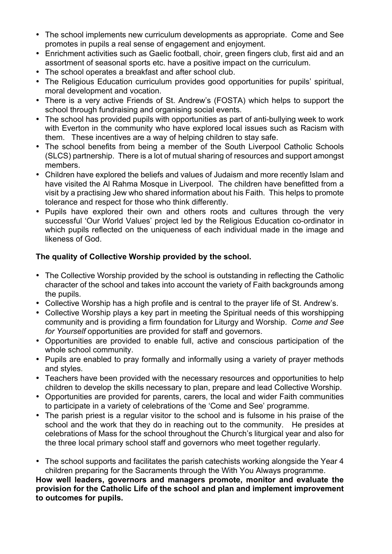- The school implements new curriculum developments as appropriate. Come and See promotes in pupils a real sense of engagement and enjoyment.
- Enrichment activities such as Gaelic football, choir, green fingers club, first aid and an assortment of seasonal sports etc. have a positive impact on the curriculum.
- The school operates a breakfast and after school club.
- The Religious Education curriculum provides good opportunities for pupils' spiritual, moral development and vocation.
- There is a very active Friends of St. Andrew's (FOSTA) which helps to support the school through fundraising and organising social events.
- The school has provided pupils with opportunities as part of anti-bullying week to work with Everton in the community who have explored local issues such as Racism with them. These incentives are a way of helping children to stay safe.
- The school benefits from being a member of the South Liverpool Catholic Schools (SLCS) partnership. There is a lot of mutual sharing of resources and support amongst members.
- Children have explored the beliefs and values of Judaism and more recently Islam and have visited the Al Rahma Mosque in Liverpool. The children have benefitted from a visit by a practising Jew who shared information about his Faith. This helps to promote tolerance and respect for those who think differently.
- Pupils have explored their own and others roots and cultures through the very successful 'Our World Values' project led by the Religious Education co-ordinator in which pupils reflected on the uniqueness of each individual made in the image and likeness of God.

#### **The quality of Collective Worship provided by the school.**

- The Collective Worship provided by the school is outstanding in reflecting the Catholic character of the school and takes into account the variety of Faith backgrounds among the pupils.
- Collective Worship has a high profile and is central to the prayer life of St. Andrew's.
- Collective Worship plays a key part in meeting the Spiritual needs of this worshipping community and is providing a firm foundation for Liturgy and Worship. *Come and See for Yourself* opportunities are provided for staff and governors.
- Opportunities are provided to enable full, active and conscious participation of the whole school community.
- Pupils are enabled to pray formally and informally using a variety of prayer methods and styles.
- Teachers have been provided with the necessary resources and opportunities to help children to develop the skills necessary to plan, prepare and lead Collective Worship.
- Opportunities are provided for parents, carers, the local and wider Faith communities to participate in a variety of celebrations of the 'Come and See' programme.
- The parish priest is a regular visitor to the school and is fulsome in his praise of the school and the work that they do in reaching out to the community. He presides at celebrations of Mass for the school throughout the Church's liturgical year and also for the three local primary school staff and governors who meet together regularly.
- The school supports and facilitates the parish catechists working alongside the Year 4 children preparing for the Sacraments through the With You Always programme.

**How well leaders, governors and managers promote, monitor and evaluate the provision for the Catholic Life of the school and plan and implement improvement to outcomes for pupils.**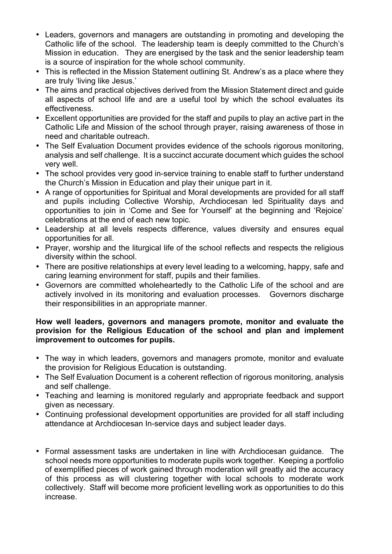- Leaders, governors and managers are outstanding in promoting and developing the Catholic life of the school. The leadership team is deeply committed to the Church's Mission in education. They are energised by the task and the senior leadership team is a source of inspiration for the whole school community.
- This is reflected in the Mission Statement outlining St. Andrew's as a place where they are truly 'living like Jesus.'
- The aims and practical objectives derived from the Mission Statement direct and guide all aspects of school life and are a useful tool by which the school evaluates its effectiveness.
- Excellent opportunities are provided for the staff and pupils to play an active part in the Catholic Life and Mission of the school through prayer, raising awareness of those in need and charitable outreach.
- The Self Evaluation Document provides evidence of the schools rigorous monitoring, analysis and self challenge. It is a succinct accurate document which guides the school very well.
- The school provides very good in-service training to enable staff to further understand the Church's Mission in Education and play their unique part in it.
- A range of opportunities for Spiritual and Moral developments are provided for all staff and pupils including Collective Worship, Archdiocesan led Spirituality days and opportunities to join in 'Come and See for Yourself' at the beginning and 'Rejoice' celebrations at the end of each new topic*.*
- Leadership at all levels respects difference, values diversity and ensures equal opportunities for all.
- Prayer, worship and the liturgical life of the school reflects and respects the religious diversity within the school.
- There are positive relationships at every level leading to a welcoming, happy, safe and caring learning environment for staff, pupils and their families.
- Governors are committed wholeheartedly to the Catholic Life of the school and are actively involved in its monitoring and evaluation processes. Governors discharge their responsibilities in an appropriate manner.

#### **How well leaders, governors and managers promote, monitor and evaluate the provision for the Religious Education of the school and plan and implement improvement to outcomes for pupils.**

- The way in which leaders, governors and managers promote, monitor and evaluate the provision for Religious Education is outstanding.
- The Self Evaluation Document is a coherent reflection of rigorous monitoring, analysis and self challenge.
- Teaching and learning is monitored regularly and appropriate feedback and support given as necessary*.*
- Continuing professional development opportunities are provided for all staff including attendance at Archdiocesan In-service days and subject leader days.
- Formal assessment tasks are undertaken in line with Archdiocesan guidance. The school needs more opportunities to moderate pupils work together. Keeping a portfolio of exemplified pieces of work gained through moderation will greatly aid the accuracy of this process as will clustering together with local schools to moderate work collectively. Staff will become more proficient levelling work as opportunities to do this increase.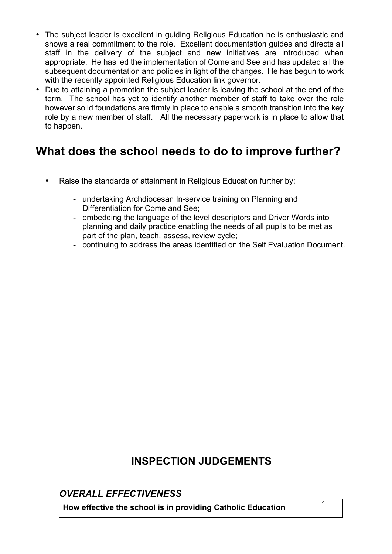- The subject leader is excellent in guiding Religious Education he is enthusiastic and shows a real commitment to the role. Excellent documentation guides and directs all staff in the delivery of the subject and new initiatives are introduced when appropriate. He has led the implementation of Come and See and has updated all the subsequent documentation and policies in light of the changes. He has begun to work with the recently appointed Religious Education link governor.
- Due to attaining a promotion the subject leader is leaving the school at the end of the term. The school has yet to identify another member of staff to take over the role however solid foundations are firmly in place to enable a smooth transition into the key role by a new member of staff. All the necessary paperwork is in place to allow that to happen.

# **What does the school needs to do to improve further?**

- Raise the standards of attainment in Religious Education further by:
	- undertaking Archdiocesan In-service training on Planning and Differentiation for Come and See;
	- embedding the language of the level descriptors and Driver Words into planning and daily practice enabling the needs of all pupils to be met as part of the plan, teach, assess, review cycle;
	- continuing to address the areas identified on the Self Evaluation Document.

### **INSPECTION JUDGEMENTS**

### *OVERALL EFFECTIVENESS*

**How effective the school is in providing Catholic Education** <sup>1</sup>